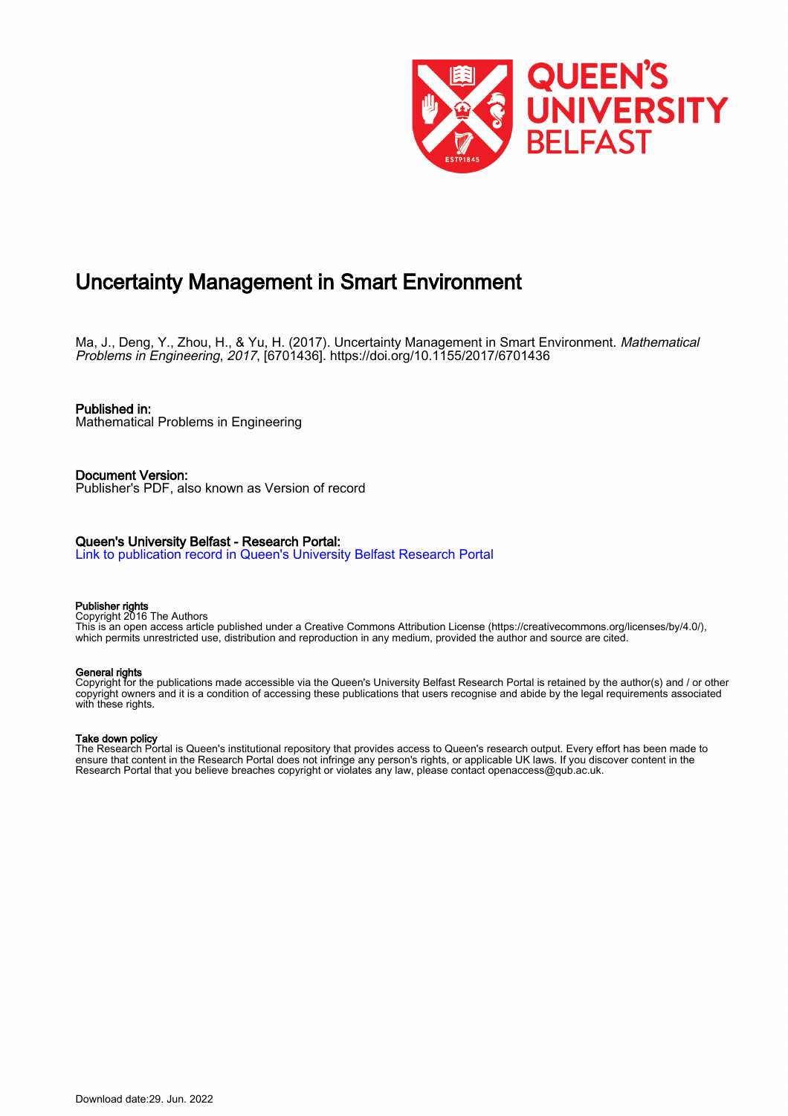

### Uncertainty Management in Smart Environment

Ma, J., Deng, Y., Zhou, H., & Yu, H. (2017). Uncertainty Management in Smart Environment. Mathematical Problems in Engineering, 2017, [6701436].<https://doi.org/10.1155/2017/6701436>

Published in: Mathematical Problems in Engineering

Document Version: Publisher's PDF, also known as Version of record

### Queen's University Belfast - Research Portal:

[Link to publication record in Queen's University Belfast Research Portal](https://pure.qub.ac.uk/en/publications/adfb1192-6a80-480e-8b0e-c828d9d70032)

#### Publisher rights

Copyright 2016 The Authors

This is an open access article published under a Creative Commons Attribution License (https://creativecommons.org/licenses/by/4.0/), which permits unrestricted use, distribution and reproduction in any medium, provided the author and source are cited.

#### General rights

Copyright for the publications made accessible via the Queen's University Belfast Research Portal is retained by the author(s) and / or other copyright owners and it is a condition of accessing these publications that users recognise and abide by the legal requirements associated with these rights.

#### Take down policy

The Research Portal is Queen's institutional repository that provides access to Queen's research output. Every effort has been made to ensure that content in the Research Portal does not infringe any person's rights, or applicable UK laws. If you discover content in the Research Portal that you believe breaches copyright or violates any law, please contact openaccess@qub.ac.uk.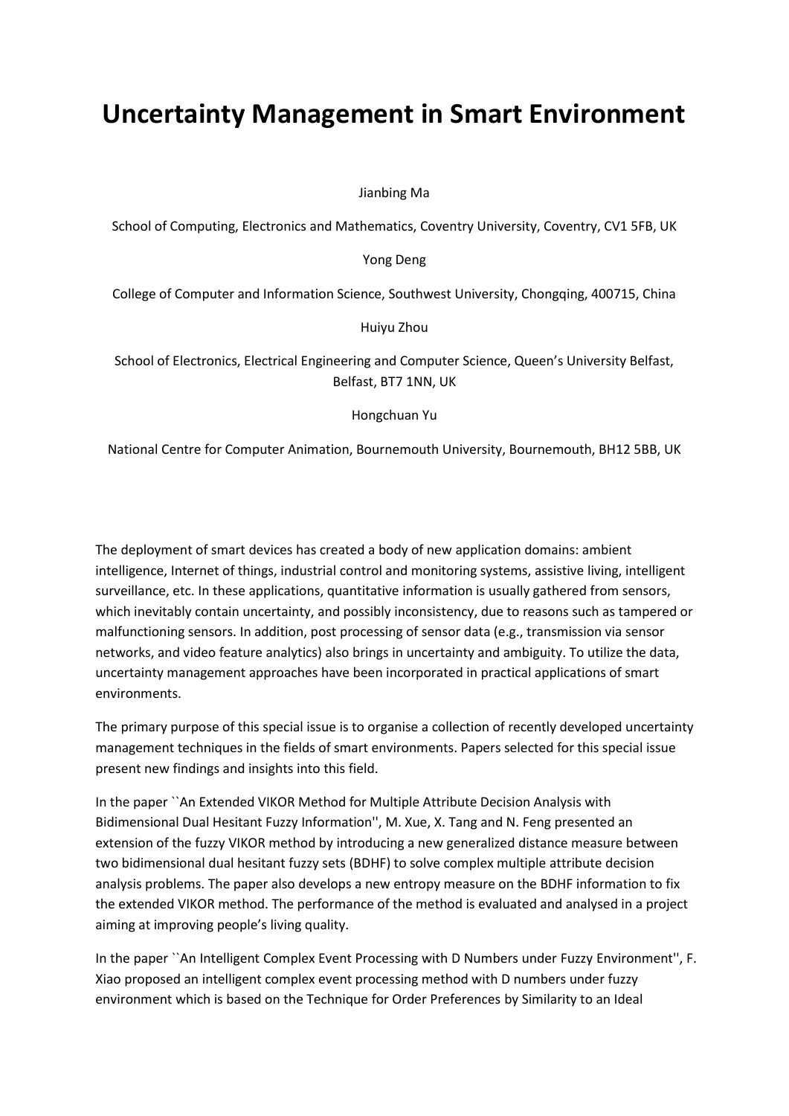# **Uncertainty Management in Smart Environment**

Jianbing Ma

School of Computing, Electronics and Mathematics, Coventry University, Coventry, CV1 5FB, UK

Yong Deng

College of Computer and Information Science, Southwest University, Chongqing, 400715, China

Huiyu Zhou

School of Electronics, Electrical Engineering and Computer Science, Queen's University Belfast, Belfast, BT7 1NN, UK

Hongchuan Yu

National Centre for Computer Animation, Bournemouth University, Bournemouth, BH12 5BB, UK

The deployment of smart devices has created a body of new application domains: ambient intelligence, Internet of things, industrial control and monitoring systems, assistive living, intelligent surveillance, etc. In these applications, quantitative information is usually gathered from sensors, which inevitably contain uncertainty, and possibly inconsistency, due to reasons such as tampered or malfunctioning sensors. In addition, post processing of sensor data (e.g., transmission via sensor networks, and video feature analytics) also brings in uncertainty and ambiguity. To utilize the data, uncertainty management approaches have been incorporated in practical applications of smart environments.

The primary purpose of this special issue is to organise a collection of recently developed uncertainty management techniques in the fields of smart environments. Papers selected for this special issue present new findings and insights into this field.

In the paper ``An Extended VIKOR Method for Multiple Attribute Decision Analysis with Bidimensional Dual Hesitant Fuzzy Information'', M. Xue, X. Tang and N. Feng presented an extension of the fuzzy VIKOR method by introducing a new generalized distance measure between two bidimensional dual hesitant fuzzy sets (BDHF) to solve complex multiple attribute decision analysis problems. The paper also develops a new entropy measure on the BDHF information to fix the extended VIKOR method. The performance of the method is evaluated and analysed in a project aiming at improving people's living quality.

In the paper ``An Intelligent Complex Event Processing with D Numbers under Fuzzy Environment'', F. Xiao proposed an intelligent complex event processing method with D numbers under fuzzy environment which is based on the Technique for Order Preferences by Similarity to an Ideal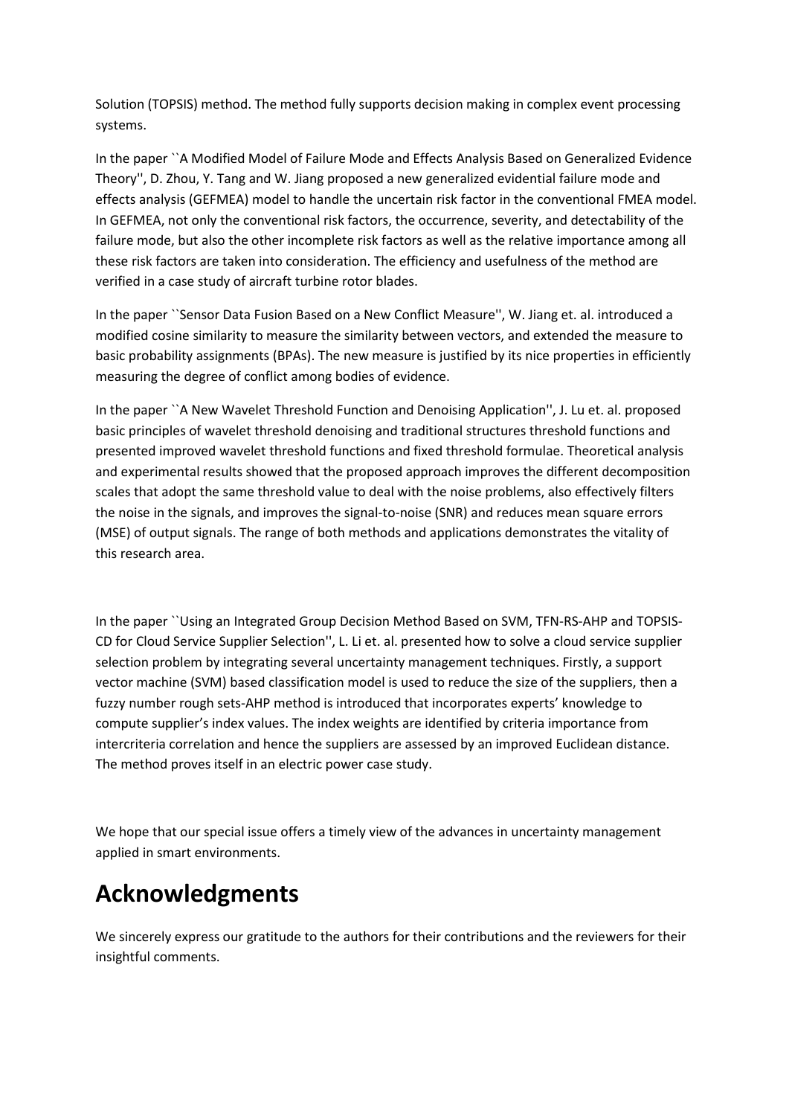Solution (TOPSIS) method. The method fully supports decision making in complex event processing systems.

In the paper ``A Modified Model of Failure Mode and Effects Analysis Based on Generalized Evidence Theory'', D. Zhou, Y. Tang and W. Jiang proposed a new generalized evidential failure mode and effects analysis (GEFMEA) model to handle the uncertain risk factor in the conventional FMEA model. In GEFMEA, not only the conventional risk factors, the occurrence, severity, and detectability of the failure mode, but also the other incomplete risk factors as well as the relative importance among all these risk factors are taken into consideration. The efficiency and usefulness of the method are verified in a case study of aircraft turbine rotor blades.

In the paper ``Sensor Data Fusion Based on a New Conflict Measure'', W. Jiang et. al. introduced a modified cosine similarity to measure the similarity between vectors, and extended the measure to basic probability assignments (BPAs). The new measure is justified by its nice properties in efficiently measuring the degree of conflict among bodies of evidence.

In the paper ``A New Wavelet Threshold Function and Denoising Application'', J. Lu et. al. proposed basic principles of wavelet threshold denoising and traditional structures threshold functions and presented improved wavelet threshold functions and fixed threshold formulae. Theoretical analysis and experimental results showed that the proposed approach improves the different decomposition scales that adopt the same threshold value to deal with the noise problems, also effectively filters the noise in the signals, and improves the signal-to-noise (SNR) and reduces mean square errors (MSE) of output signals. The range of both methods and applications demonstrates the vitality of this research area.

In the paper ``Using an Integrated Group Decision Method Based on SVM, TFN-RS-AHP and TOPSIS-CD for Cloud Service Supplier Selection'', L. Li et. al. presented how to solve a cloud service supplier selection problem by integrating several uncertainty management techniques. Firstly, a support vector machine (SVM) based classification model is used to reduce the size of the suppliers, then a fuzzy number rough sets-AHP method is introduced that incorporates experts' knowledge to compute supplier's index values. The index weights are identified by criteria importance from intercriteria correlation and hence the suppliers are assessed by an improved Euclidean distance. The method proves itself in an electric power case study.

We hope that our special issue offers a timely view of the advances in uncertainty management applied in smart environments.

## **Acknowledgments**

We sincerely express our gratitude to the authors for their contributions and the reviewers for their insightful comments.